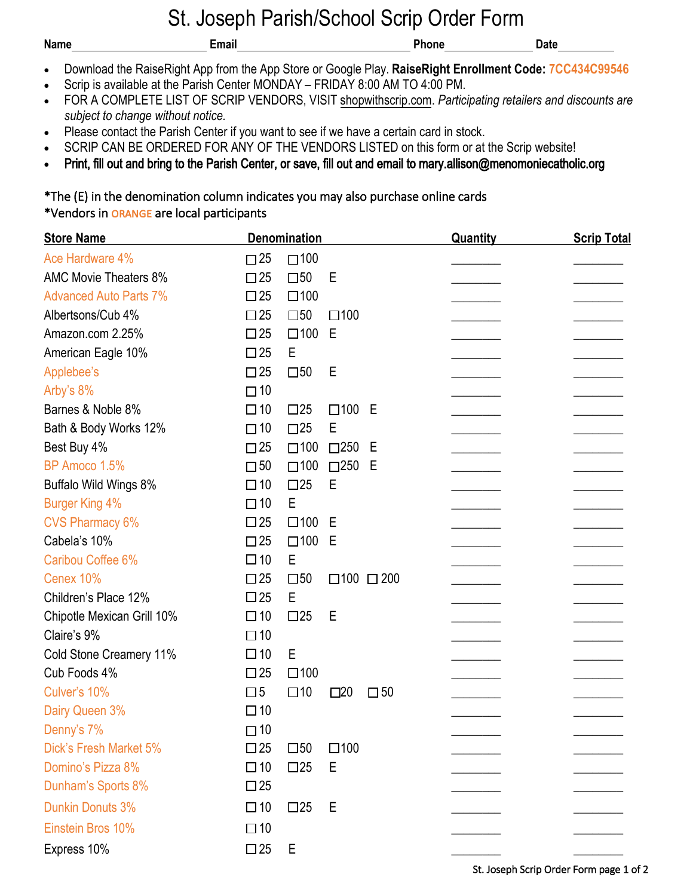## St. Joseph Parish/School Scrip Order Form

| <b>Name</b> | Email                                                                                                   | <b>Phone</b> | <b>Date</b> |
|-------------|---------------------------------------------------------------------------------------------------------|--------------|-------------|
| $\bullet$   | Download the RaiseRight App from the App Store or Google Play. RaiseRight Enrollment Code: 7CC434C99546 |              |             |

- Scrip is available at the Parish Center MONDAY FRIDAY 8:00 AM TO 4:00 PM.
- FOR A COMPLETE LIST OF SCRIP VENDORS, VISI[T shopwithscrip.com](https://shop.shopwithscrip.com/Shop/Product/Browse). *Participating retailers and discounts are subject to change without notice.*
- Please contact the Parish Center if you want to see if we have a certain card in stock.
- SCRIP CAN BE ORDERED FOR ANY OF THE VENDORS LISTED on this form or at the Scrip website!
- Print, fill out and bring to the Parish Center, or save, fill out and email to mary.allison@menomoniecatholic.org

\*The (E) in the denomination column indicates you may also purchase online cards \*Vendors in orange are local participants

| <b>Store Name</b>             |              | Denomination    |                           |              | <b>Quantity</b> | <b>Scrip Total</b> |
|-------------------------------|--------------|-----------------|---------------------------|--------------|-----------------|--------------------|
| Ace Hardware 4%               | $\square$ 25 | $\square$ 100   |                           |              |                 |                    |
| <b>AMC Movie Theaters 8%</b>  | $\square$ 25 | $\square$ 50    | Е                         |              |                 |                    |
| <b>Advanced Auto Parts 7%</b> | $\square$ 25 | $\square$ 100   |                           |              |                 |                    |
| Albertsons/Cub 4%             | $\square$ 25 | $\square$ 50    | $\square$ 100             |              |                 |                    |
| Amazon.com 2.25%              | $\square$ 25 | $\square$ 100 E |                           |              |                 |                    |
| American Eagle 10%            | $\square$ 25 | Е               |                           |              |                 |                    |
| Applebee's                    | $\square$ 25 | $\square$ 50    | Е                         |              |                 |                    |
| Arby's 8%                     | $\square$ 10 |                 |                           |              |                 |                    |
| Barnes & Noble 8%             | $\Box$ 10    | $\square$ 25    | $\square$ 100             | E            |                 |                    |
| Bath & Body Works 12%         | $\Box$ 10    | $\Box$ 25       | E                         |              |                 |                    |
| Best Buy 4%                   | $\square$ 25 | $\square$ 100   | $\square$ 250             | Е            |                 |                    |
| BP Amoco 1.5%                 | $\square$ 50 | $\square$ 100   | $\square$ 250             | Е            |                 |                    |
| Buffalo Wild Wings 8%         | $\Box$ 10    | $\square$ 25    | E                         |              |                 |                    |
| <b>Burger King 4%</b>         | $\Box$ 10    | E               |                           |              |                 |                    |
| <b>CVS Pharmacy 6%</b>        | $\square$ 25 | $\square$ 100   | E                         |              |                 |                    |
| Cabela's 10%                  | $\square$ 25 | $\square$ 100   | Е                         |              |                 |                    |
| Caribou Coffee 6%             | $\Box$ 10    | E               |                           |              |                 |                    |
| Cenex 10%                     | $\square$ 25 | $\square$ 50    | $\Box 100 \quad \Box 200$ |              |                 |                    |
| Children's Place 12%          | $\square$ 25 | E               |                           |              |                 |                    |
| Chipotle Mexican Grill 10%    | $\Box$ 10    | $\square$ 25    | E                         |              |                 |                    |
| Claire's 9%                   | $\Box$ 10    |                 |                           |              |                 |                    |
| Cold Stone Creamery 11%       | $\Box$ 10    | E               |                           |              |                 |                    |
| Cub Foods 4%                  | $\square$ 25 | $\square$ 100   |                           |              |                 |                    |
| Culver's 10%                  | $\square$    | $\square$ 10    | $\square$ 20              | $\square$ 50 |                 |                    |
| Dairy Queen 3%                | $\Box$ 10    |                 |                           |              |                 |                    |
| Denny's 7%                    | $\Box$ 10    |                 |                           |              |                 |                    |
| Dick's Fresh Market 5%        | $\square$ 25 | $\square$ 50    | $\square$ 100             |              |                 |                    |
| Domino's Pizza 8%             | $\Box$ 10    | $\square$ 25    | Е                         |              |                 |                    |
| Dunham's Sports 8%            | $\square$ 25 |                 |                           |              |                 |                    |
| <b>Dunkin Donuts 3%</b>       | $\Box$ 10    | $\square$ 25    | Е                         |              |                 |                    |
| Einstein Bros 10%             | $\Box$ 10    |                 |                           |              |                 |                    |
| Express 10%                   | $\square$ 25 | Ε               |                           |              |                 |                    |